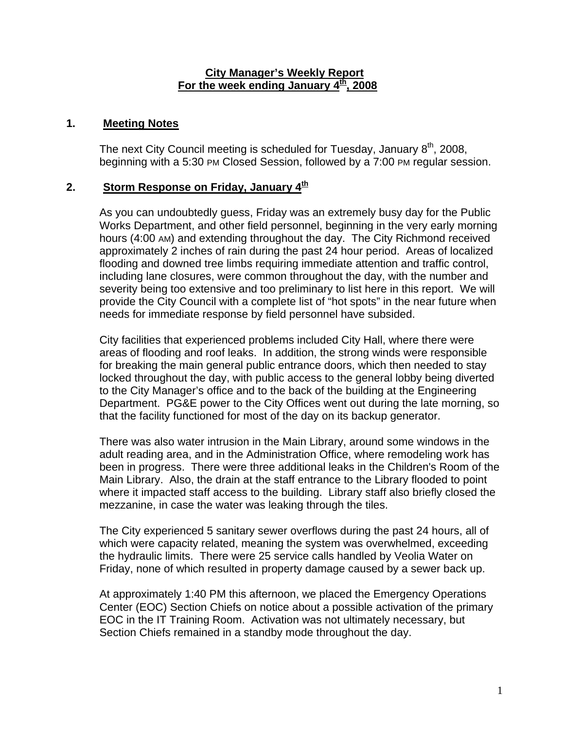### **City Manager's Weekly Report** For the week ending January 4<sup>th</sup>, 2008

### **1. Meeting Notes**

The next City Council meeting is scheduled for Tuesday, January  $8<sup>th</sup>$ , 2008, beginning with a 5:30 PM Closed Session, followed by a 7:00 PM regular session.

# **2.** Storm Response on Friday, January 4<sup>th</sup>

As you can undoubtedly guess, Friday was an extremely busy day for the Public Works Department, and other field personnel, beginning in the very early morning hours (4:00 AM) and extending throughout the day. The City Richmond received approximately 2 inches of rain during the past 24 hour period. Areas of localized flooding and downed tree limbs requiring immediate attention and traffic control, including lane closures, were common throughout the day, with the number and severity being too extensive and too preliminary to list here in this report. We will provide the City Council with a complete list of "hot spots" in the near future when needs for immediate response by field personnel have subsided.

City facilities that experienced problems included City Hall, where there were areas of flooding and roof leaks. In addition, the strong winds were responsible for breaking the main general public entrance doors, which then needed to stay locked throughout the day, with public access to the general lobby being diverted to the City Manager's office and to the back of the building at the Engineering Department. PG&E power to the City Offices went out during the late morning, so that the facility functioned for most of the day on its backup generator.

There was also water intrusion in the Main Library, around some windows in the adult reading area, and in the Administration Office, where remodeling work has been in progress. There were three additional leaks in the Children's Room of the Main Library. Also, the drain at the staff entrance to the Library flooded to point where it impacted staff access to the building. Library staff also briefly closed the mezzanine, in case the water was leaking through the tiles.

The City experienced 5 sanitary sewer overflows during the past 24 hours, all of which were capacity related, meaning the system was overwhelmed, exceeding the hydraulic limits. There were 25 service calls handled by Veolia Water on Friday, none of which resulted in property damage caused by a sewer back up.

At approximately 1:40 PM this afternoon, we placed the Emergency Operations Center (EOC) Section Chiefs on notice about a possible activation of the primary EOC in the IT Training Room. Activation was not ultimately necessary, but Section Chiefs remained in a standby mode throughout the day.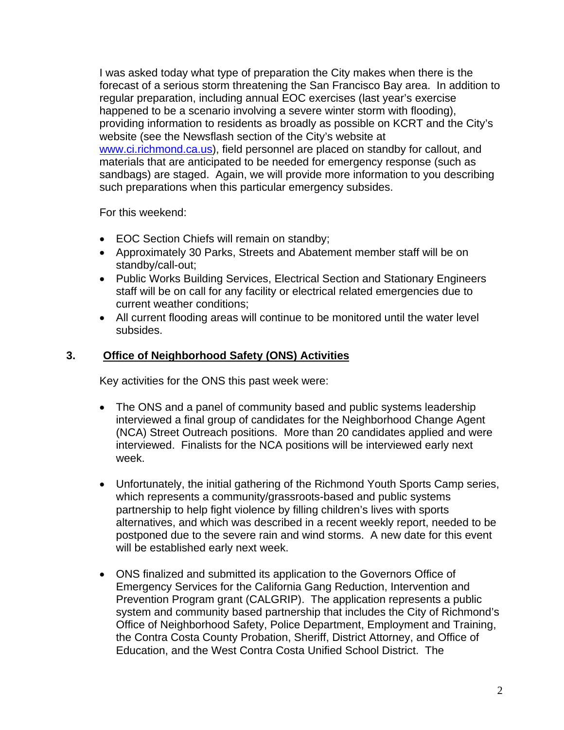I was asked today what type of preparation the City makes when there is the forecast of a serious storm threatening the San Francisco Bay area. In addition to regular preparation, including annual EOC exercises (last year's exercise happened to be a scenario involving a severe winter storm with flooding), providing information to residents as broadly as possible on KCRT and the City's website (see the Newsflash section of the City's website at [www.ci.richmond.ca.us\)](http://www.ci.richmond.ca.us/), field personnel are placed on standby for callout, and materials that are anticipated to be needed for emergency response (such as sandbags) are staged. Again, we will provide more information to you describing such preparations when this particular emergency subsides.

For this weekend:

- EOC Section Chiefs will remain on standby;
- Approximately 30 Parks, Streets and Abatement member staff will be on standby/call-out;
- Public Works Building Services, Electrical Section and Stationary Engineers staff will be on call for any facility or electrical related emergencies due to current weather conditions;
- All current flooding areas will continue to be monitored until the water level subsides.

# **3. Office of Neighborhood Safety (ONS) Activities**

Key activities for the ONS this past week were:

- The ONS and a panel of community based and public systems leadership interviewed a final group of candidates for the Neighborhood Change Agent (NCA) Street Outreach positions. More than 20 candidates applied and were interviewed. Finalists for the NCA positions will be interviewed early next week.
- Unfortunately, the initial gathering of the Richmond Youth Sports Camp series, which represents a community/grassroots-based and public systems partnership to help fight violence by filling children's lives with sports alternatives, and which was described in a recent weekly report, needed to be postponed due to the severe rain and wind storms. A new date for this event will be established early next week.
- ONS finalized and submitted its application to the Governors Office of Emergency Services for the California Gang Reduction, Intervention and Prevention Program grant (CALGRIP). The application represents a public system and community based partnership that includes the City of Richmond's Office of Neighborhood Safety, Police Department, Employment and Training, the Contra Costa County Probation, Sheriff, District Attorney, and Office of Education, and the West Contra Costa Unified School District. The